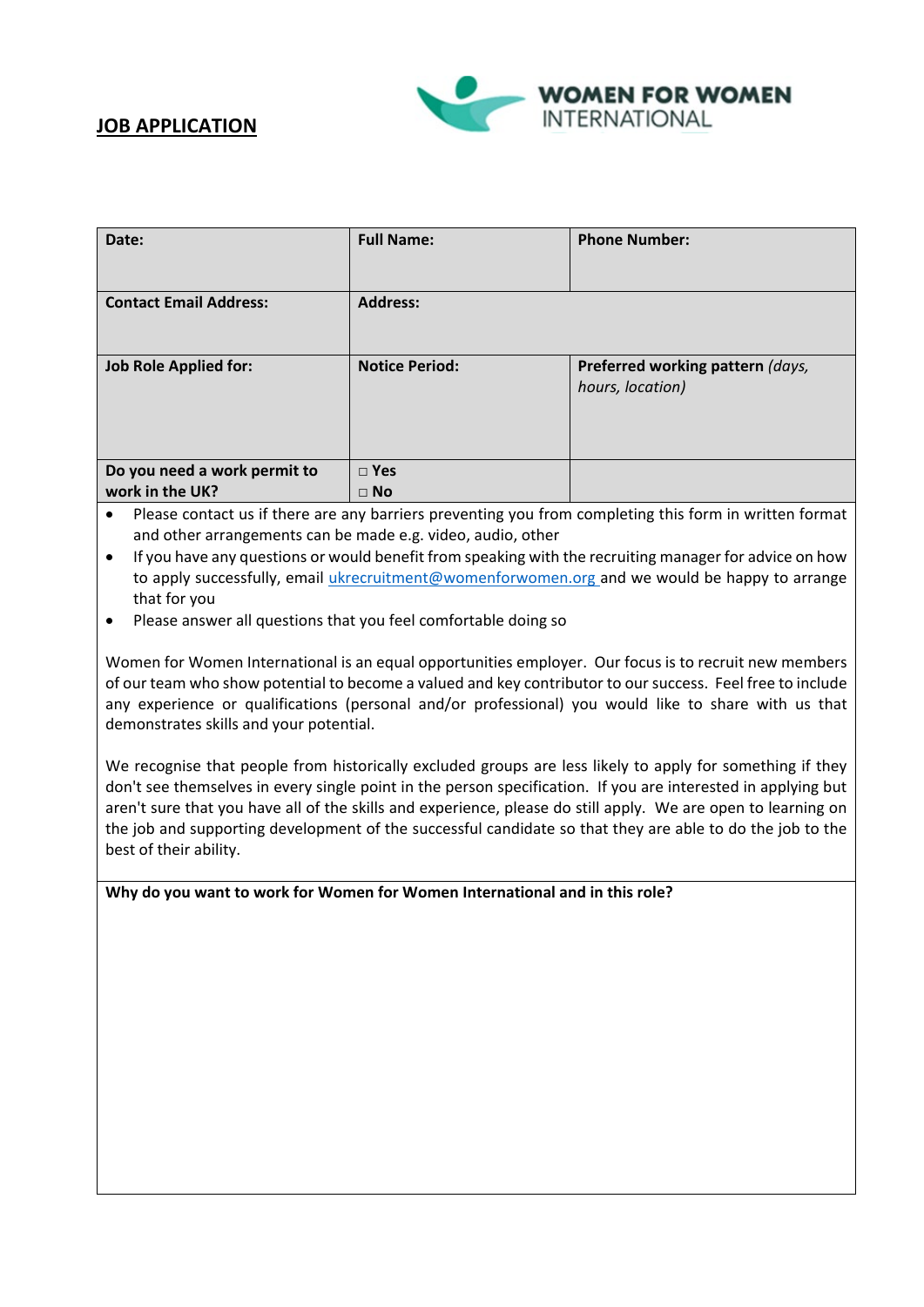



| Date:                                           | <b>Full Name:</b>       | <b>Phone Number:</b>                                 |
|-------------------------------------------------|-------------------------|------------------------------------------------------|
| <b>Contact Email Address:</b>                   | <b>Address:</b>         |                                                      |
| <b>Job Role Applied for:</b>                    | <b>Notice Period:</b>   | Preferred working pattern (days,<br>hours, location) |
| Do you need a work permit to<br>work in the UK? | $\Box$ Yes<br>$\Box$ No |                                                      |

- Please contact us if there are any barriers preventing you from completing this form in written format and other arrangements can be made e.g. video, audio, other
- If you have any questions or would benefit from speaking with the recruiting manager for advice on how to apply successfully, email [ukrecruitment@womenforwomen.org](mailto:ukrecruitment@womenforwomen.org) and we would be happy to arrange that for you
- Please answer all questions that you feel comfortable doing so

Women for Women International is an equal opportunities employer. Our focus is to recruit new members of our team who show potential to become a valued and key contributor to our success. Feel free to include any experience or qualifications (personal and/or professional) you would like to share with us that demonstrates skills and your potential.

We recognise that people from historically excluded groups are less likely to apply for something if they don't see themselves in every single point in the person specification. If you are interested in applying but aren't sure that you have all of the skills and experience, please do still apply. We are open to learning on the job and supporting development of the successful candidate so that they are able to do the job to the best of their ability.

**Why do you want to work for Women for Women International and in this role?**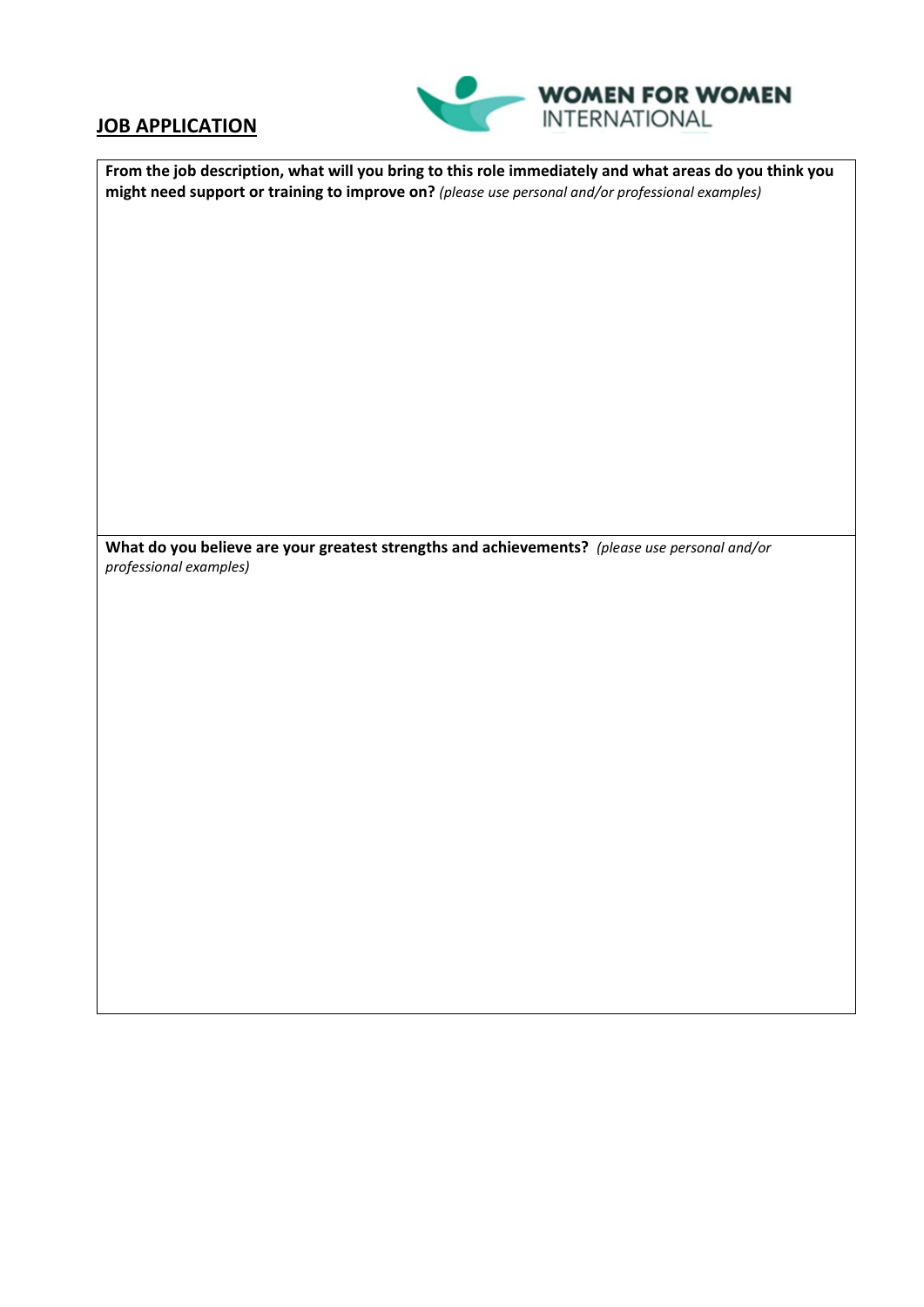## **JOB APPLICATION**



| From the job description, what will you bring to this role immediately and what areas do you think you<br>might need support or training to improve on? (please use personal and/or professional examples) |  |  |
|------------------------------------------------------------------------------------------------------------------------------------------------------------------------------------------------------------|--|--|
|                                                                                                                                                                                                            |  |  |
|                                                                                                                                                                                                            |  |  |
|                                                                                                                                                                                                            |  |  |
|                                                                                                                                                                                                            |  |  |
|                                                                                                                                                                                                            |  |  |
|                                                                                                                                                                                                            |  |  |
| What do you believe are your greatest strengths and achievements? (please use personal and/or                                                                                                              |  |  |
| professional examples)                                                                                                                                                                                     |  |  |
|                                                                                                                                                                                                            |  |  |
|                                                                                                                                                                                                            |  |  |
|                                                                                                                                                                                                            |  |  |
|                                                                                                                                                                                                            |  |  |
|                                                                                                                                                                                                            |  |  |
|                                                                                                                                                                                                            |  |  |
|                                                                                                                                                                                                            |  |  |
|                                                                                                                                                                                                            |  |  |